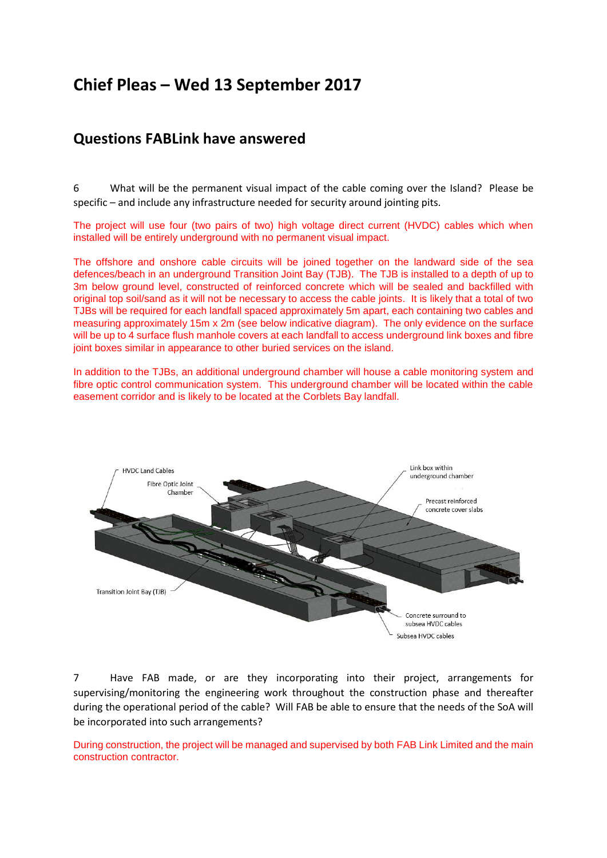# **Chief Pleas – Wed 13 September 2017**

# **Questions FABLink have answered**

6 What will be the permanent visual impact of the cable coming over the Island? Please be specific – and include any infrastructure needed for security around jointing pits.

The project will use four (two pairs of two) high voltage direct current (HVDC) cables which when installed will be entirely underground with no permanent visual impact.

The offshore and onshore cable circuits will be joined together on the landward side of the sea defences/beach in an underground Transition Joint Bay (TJB). The TJB is installed to a depth of up to 3m below ground level, constructed of reinforced concrete which will be sealed and backfilled with original top soil/sand as it will not be necessary to access the cable joints. It is likely that a total of two TJBs will be required for each landfall spaced approximately 5m apart, each containing two cables and measuring approximately 15m x 2m (see below indicative diagram). The only evidence on the surface will be up to 4 surface flush manhole covers at each landfall to access underground link boxes and fibre joint boxes similar in appearance to other buried services on the island.

In addition to the TJBs, an additional underground chamber will house a cable monitoring system and fibre optic control communication system. This underground chamber will be located within the cable easement corridor and is likely to be located at the Corblets Bay landfall.



7 Have FAB made, or are they incorporating into their project, arrangements for supervising/monitoring the engineering work throughout the construction phase and thereafter during the operational period of the cable? Will FAB be able to ensure that the needs of the SoA will be incorporated into such arrangements?

During construction, the project will be managed and supervised by both FAB Link Limited and the main construction contractor.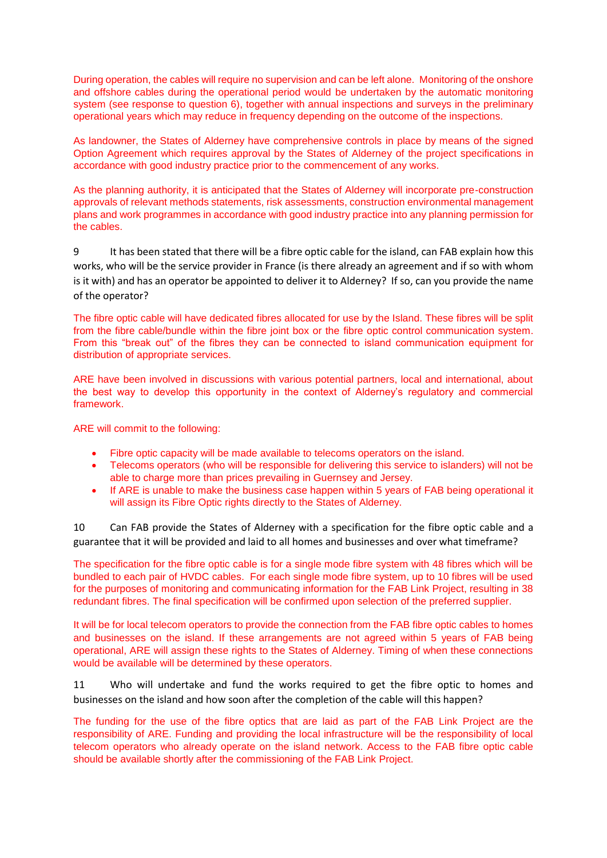During operation, the cables will require no supervision and can be left alone. Monitoring of the onshore and offshore cables during the operational period would be undertaken by the automatic monitoring system (see response to question 6), together with annual inspections and surveys in the preliminary operational years which may reduce in frequency depending on the outcome of the inspections.

As landowner, the States of Alderney have comprehensive controls in place by means of the signed Option Agreement which requires approval by the States of Alderney of the project specifications in accordance with good industry practice prior to the commencement of any works.

As the planning authority, it is anticipated that the States of Alderney will incorporate pre-construction approvals of relevant methods statements, risk assessments, construction environmental management plans and work programmes in accordance with good industry practice into any planning permission for the cables.

9 It has been stated that there will be a fibre optic cable for the island, can FAB explain how this works, who will be the service provider in France (is there already an agreement and if so with whom is it with) and has an operator be appointed to deliver it to Alderney? If so, can you provide the name of the operator?

The fibre optic cable will have dedicated fibres allocated for use by the Island. These fibres will be split from the fibre cable/bundle within the fibre joint box or the fibre optic control communication system. From this "break out" of the fibres they can be connected to island communication equipment for distribution of appropriate services.

ARE have been involved in discussions with various potential partners, local and international, about the best way to develop this opportunity in the context of Alderney's regulatory and commercial framework.

ARE will commit to the following:

- Fibre optic capacity will be made available to telecoms operators on the island.
- Telecoms operators (who will be responsible for delivering this service to islanders) will not be able to charge more than prices prevailing in Guernsey and Jersey.
- If ARE is unable to make the business case happen within 5 years of FAB being operational it will assign its Fibre Optic rights directly to the States of Alderney.

10 Can FAB provide the States of Alderney with a specification for the fibre optic cable and a guarantee that it will be provided and laid to all homes and businesses and over what timeframe?

The specification for the fibre optic cable is for a single mode fibre system with 48 fibres which will be bundled to each pair of HVDC cables. For each single mode fibre system, up to 10 fibres will be used for the purposes of monitoring and communicating information for the FAB Link Project, resulting in 38 redundant fibres. The final specification will be confirmed upon selection of the preferred supplier.

It will be for local telecom operators to provide the connection from the FAB fibre optic cables to homes and businesses on the island. If these arrangements are not agreed within 5 years of FAB being operational, ARE will assign these rights to the States of Alderney. Timing of when these connections would be available will be determined by these operators.

11 Who will undertake and fund the works required to get the fibre optic to homes and businesses on the island and how soon after the completion of the cable will this happen?

The funding for the use of the fibre optics that are laid as part of the FAB Link Project are the responsibility of ARE. Funding and providing the local infrastructure will be the responsibility of local telecom operators who already operate on the island network. Access to the FAB fibre optic cable should be available shortly after the commissioning of the FAB Link Project.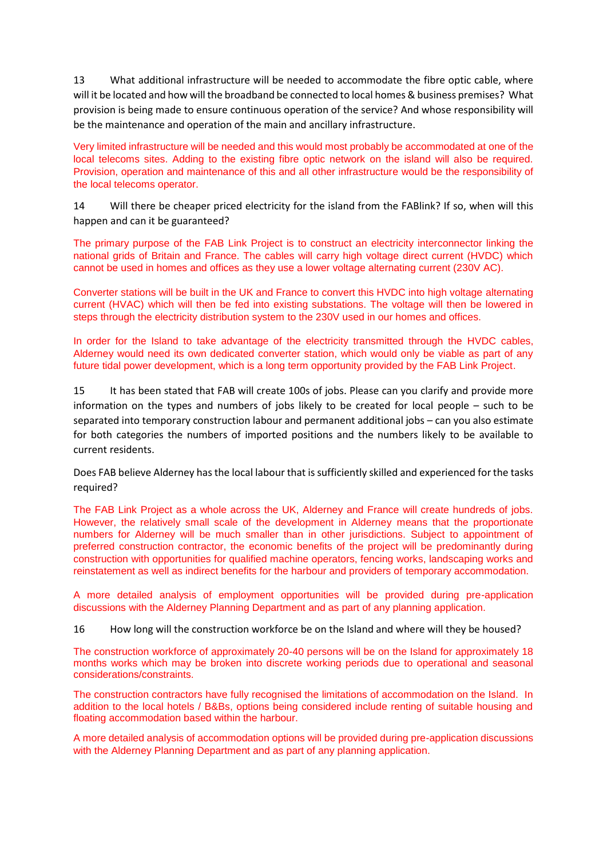13 What additional infrastructure will be needed to accommodate the fibre optic cable, where will it be located and how will the broadband be connected to local homes & business premises? What provision is being made to ensure continuous operation of the service? And whose responsibility will be the maintenance and operation of the main and ancillary infrastructure.

Very limited infrastructure will be needed and this would most probably be accommodated at one of the local telecoms sites. Adding to the existing fibre optic network on the island will also be required. Provision, operation and maintenance of this and all other infrastructure would be the responsibility of the local telecoms operator.

14 Will there be cheaper priced electricity for the island from the FABlink? If so, when will this happen and can it be guaranteed?

The primary purpose of the FAB Link Project is to construct an electricity interconnector linking the national grids of Britain and France. The cables will carry high voltage direct current (HVDC) which cannot be used in homes and offices as they use a lower voltage alternating current (230V AC).

Converter stations will be built in the UK and France to convert this HVDC into high voltage alternating current (HVAC) which will then be fed into existing substations. The voltage will then be lowered in steps through the electricity distribution system to the 230V used in our homes and offices.

In order for the Island to take advantage of the electricity transmitted through the HVDC cables, Alderney would need its own dedicated converter station, which would only be viable as part of any future tidal power development, which is a long term opportunity provided by the FAB Link Project.

15 It has been stated that FAB will create 100s of jobs. Please can you clarify and provide more information on the types and numbers of jobs likely to be created for local people – such to be separated into temporary construction labour and permanent additional jobs – can you also estimate for both categories the numbers of imported positions and the numbers likely to be available to current residents.

Does FAB believe Alderney has the local labour that is sufficiently skilled and experienced for the tasks required?

The FAB Link Project as a whole across the UK, Alderney and France will create hundreds of jobs. However, the relatively small scale of the development in Alderney means that the proportionate numbers for Alderney will be much smaller than in other jurisdictions. Subject to appointment of preferred construction contractor, the economic benefits of the project will be predominantly during construction with opportunities for qualified machine operators, fencing works, landscaping works and reinstatement as well as indirect benefits for the harbour and providers of temporary accommodation.

A more detailed analysis of employment opportunities will be provided during pre-application discussions with the Alderney Planning Department and as part of any planning application.

16 How long will the construction workforce be on the Island and where will they be housed?

The construction workforce of approximately 20-40 persons will be on the Island for approximately 18 months works which may be broken into discrete working periods due to operational and seasonal considerations/constraints.

The construction contractors have fully recognised the limitations of accommodation on the Island. In addition to the local hotels / B&Bs, options being considered include renting of suitable housing and floating accommodation based within the harbour.

A more detailed analysis of accommodation options will be provided during pre-application discussions with the Alderney Planning Department and as part of any planning application.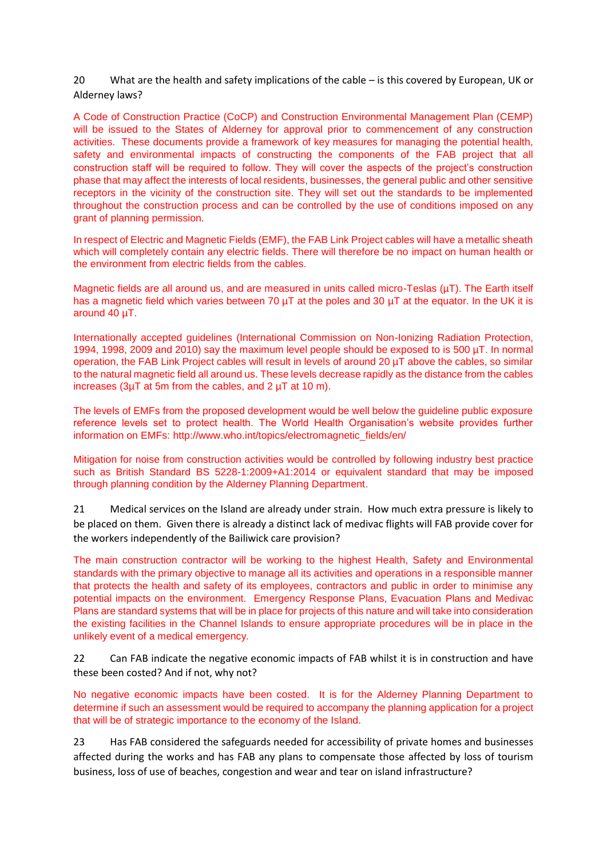20 What are the health and safety implications of the cable – is this covered by European, UK or Alderney laws?

A Code of Construction Practice (CoCP) and Construction Environmental Management Plan (CEMP) will be issued to the States of Alderney for approval prior to commencement of any construction activities. These documents provide a framework of key measures for managing the potential health, safety and environmental impacts of constructing the components of the FAB project that all construction staff will be required to follow. They will cover the aspects of the project's construction phase that may affect the interests of local residents, businesses, the general public and other sensitive receptors in the vicinity of the construction site. They will set out the standards to be implemented throughout the construction process and can be controlled by the use of conditions imposed on any grant of planning permission.

In respect of Electric and Magnetic Fields (EMF), the FAB Link Project cables will have a metallic sheath which will completely contain any electric fields. There will therefore be no impact on human health or the environment from electric fields from the cables.

Magnetic fields are all around us, and are measured in units called micro-Teslas (µT). The Earth itself has a magnetic field which varies between 70 uT at the poles and 30 uT at the equator. In the UK it is around 40 µT.

Internationally accepted guidelines (International Commission on Non-Ionizing Radiation Protection, 1994, 1998, 2009 and 2010) say the maximum level people should be exposed to is 500 µT. In normal operation, the FAB Link Project cables will result in levels of around 20 µT above the cables, so similar to the natural magnetic field all around us. These levels decrease rapidly as the distance from the cables increases (3µT at 5m from the cables, and 2 µT at 10 m).

The levels of EMFs from the proposed development would be well below the guideline public exposure reference levels set to protect health. The World Health Organisation's website provides further information on EMFs: [http://www.who.int/topics/electromagnetic\\_fields/en/](http://www.who.int/topics/electromagnetic_fields/en/)

Mitigation for noise from construction activities would be controlled by following industry best practice such as British Standard BS 5228-1:2009+A1:2014 or equivalent standard that may be imposed through planning condition by the Alderney Planning Department.

21 Medical services on the Island are already under strain. How much extra pressure is likely to be placed on them. Given there is already a distinct lack of medivac flights will FAB provide cover for the workers independently of the Bailiwick care provision?

The main construction contractor will be working to the highest Health, Safety and Environmental standards with the primary objective to manage all its activities and operations in a responsible manner that protects the health and safety of its employees, contractors and public in order to minimise any potential impacts on the environment. Emergency Response Plans, Evacuation Plans and Medivac Plans are standard systems that will be in place for projects of this nature and will take into consideration the existing facilities in the Channel Islands to ensure appropriate procedures will be in place in the unlikely event of a medical emergency.

22 Can FAB indicate the negative economic impacts of FAB whilst it is in construction and have these been costed? And if not, why not?

No negative economic impacts have been costed. It is for the Alderney Planning Department to determine if such an assessment would be required to accompany the planning application for a project that will be of strategic importance to the economy of the Island.

23 Has FAB considered the safeguards needed for accessibility of private homes and businesses affected during the works and has FAB any plans to compensate those affected by loss of tourism business, loss of use of beaches, congestion and wear and tear on island infrastructure?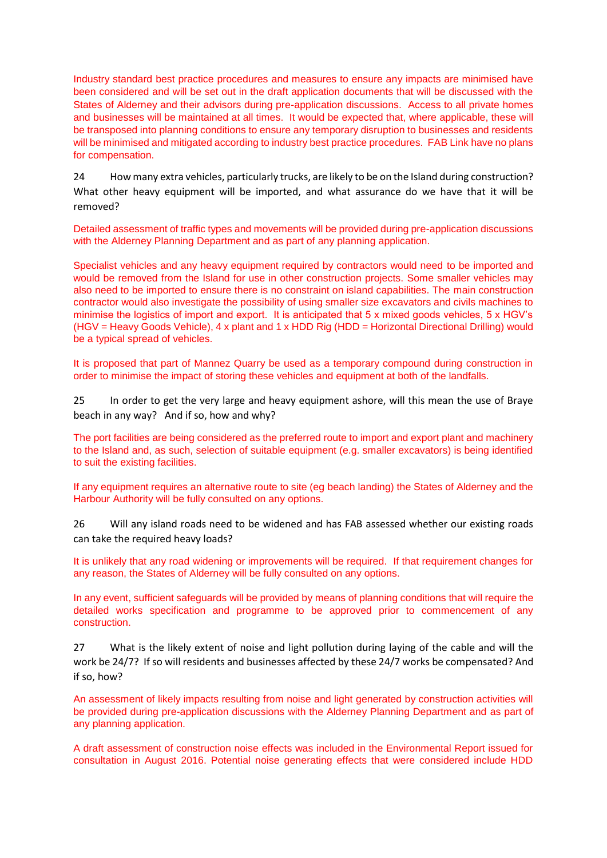Industry standard best practice procedures and measures to ensure any impacts are minimised have been considered and will be set out in the draft application documents that will be discussed with the States of Alderney and their advisors during pre-application discussions. Access to all private homes and businesses will be maintained at all times. It would be expected that, where applicable, these will be transposed into planning conditions to ensure any temporary disruption to businesses and residents will be minimised and mitigated according to industry best practice procedures. FAB Link have no plans for compensation.

24 How many extra vehicles, particularly trucks, are likely to be on the Island during construction? What other heavy equipment will be imported, and what assurance do we have that it will be removed?

Detailed assessment of traffic types and movements will be provided during pre-application discussions with the Alderney Planning Department and as part of any planning application.

Specialist vehicles and any heavy equipment required by contractors would need to be imported and would be removed from the Island for use in other construction projects. Some smaller vehicles may also need to be imported to ensure there is no constraint on island capabilities. The main construction contractor would also investigate the possibility of using smaller size excavators and civils machines to minimise the logistics of import and export. It is anticipated that 5 x mixed goods vehicles, 5 x HGV's (HGV = Heavy Goods Vehicle), 4 x plant and 1 x HDD Rig (HDD = Horizontal Directional Drilling) would be a typical spread of vehicles.

It is proposed that part of Mannez Quarry be used as a temporary compound during construction in order to minimise the impact of storing these vehicles and equipment at both of the landfalls.

25 In order to get the very large and heavy equipment ashore, will this mean the use of Braye beach in any way? And if so, how and why?

The port facilities are being considered as the preferred route to import and export plant and machinery to the Island and, as such, selection of suitable equipment (e.g. smaller excavators) is being identified to suit the existing facilities.

If any equipment requires an alternative route to site (eg beach landing) the States of Alderney and the Harbour Authority will be fully consulted on any options.

26 Will any island roads need to be widened and has FAB assessed whether our existing roads can take the required heavy loads?

It is unlikely that any road widening or improvements will be required. If that requirement changes for any reason, the States of Alderney will be fully consulted on any options.

In any event, sufficient safeguards will be provided by means of planning conditions that will require the detailed works specification and programme to be approved prior to commencement of any construction.

27 What is the likely extent of noise and light pollution during laying of the cable and will the work be 24/7? If so will residents and businesses affected by these 24/7 works be compensated? And if so, how?

An assessment of likely impacts resulting from noise and light generated by construction activities will be provided during pre-application discussions with the Alderney Planning Department and as part of any planning application.

A draft assessment of construction noise effects was included in the Environmental Report issued for consultation in August 2016. Potential noise generating effects that were considered include HDD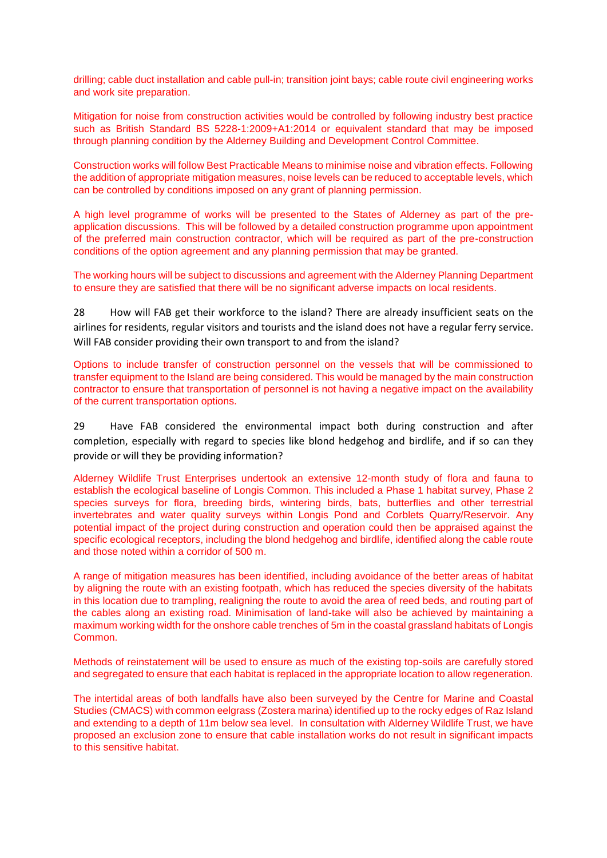drilling; cable duct installation and cable pull-in; transition joint bays; cable route civil engineering works and work site preparation.

Mitigation for noise from construction activities would be controlled by following industry best practice such as British Standard BS 5228-1:2009+A1:2014 or equivalent standard that may be imposed through planning condition by the Alderney Building and Development Control Committee.

Construction works will follow Best Practicable Means to minimise noise and vibration effects. Following the addition of appropriate mitigation measures, noise levels can be reduced to acceptable levels, which can be controlled by conditions imposed on any grant of planning permission.

A high level programme of works will be presented to the States of Alderney as part of the preapplication discussions. This will be followed by a detailed construction programme upon appointment of the preferred main construction contractor, which will be required as part of the pre-construction conditions of the option agreement and any planning permission that may be granted.

The working hours will be subject to discussions and agreement with the Alderney Planning Department to ensure they are satisfied that there will be no significant adverse impacts on local residents.

28 How will FAB get their workforce to the island? There are already insufficient seats on the airlines for residents, regular visitors and tourists and the island does not have a regular ferry service. Will FAB consider providing their own transport to and from the island?

Options to include transfer of construction personnel on the vessels that will be commissioned to transfer equipment to the Island are being considered. This would be managed by the main construction contractor to ensure that transportation of personnel is not having a negative impact on the availability of the current transportation options.

29 Have FAB considered the environmental impact both during construction and after completion, especially with regard to species like blond hedgehog and birdlife, and if so can they provide or will they be providing information?

Alderney Wildlife Trust Enterprises undertook an extensive 12-month study of flora and fauna to establish the ecological baseline of Longis Common. This included a Phase 1 habitat survey, Phase 2 species surveys for flora, breeding birds, wintering birds, bats, butterflies and other terrestrial invertebrates and water quality surveys within Longis Pond and Corblets Quarry/Reservoir. Any potential impact of the project during construction and operation could then be appraised against the specific ecological receptors, including the blond hedgehog and birdlife, identified along the cable route and those noted within a corridor of 500 m.

A range of mitigation measures has been identified, including avoidance of the better areas of habitat by aligning the route with an existing footpath, which has reduced the species diversity of the habitats in this location due to trampling, realigning the route to avoid the area of reed beds, and routing part of the cables along an existing road. Minimisation of land-take will also be achieved by maintaining a maximum working width for the onshore cable trenches of 5m in the coastal grassland habitats of Longis Common.

Methods of reinstatement will be used to ensure as much of the existing top-soils are carefully stored and segregated to ensure that each habitat is replaced in the appropriate location to allow regeneration.

The intertidal areas of both landfalls have also been surveyed by the Centre for Marine and Coastal Studies (CMACS) with common eelgrass (Zostera marina) identified up to the rocky edges of Raz Island and extending to a depth of 11m below sea level. In consultation with Alderney Wildlife Trust, we have proposed an exclusion zone to ensure that cable installation works do not result in significant impacts to this sensitive habitat.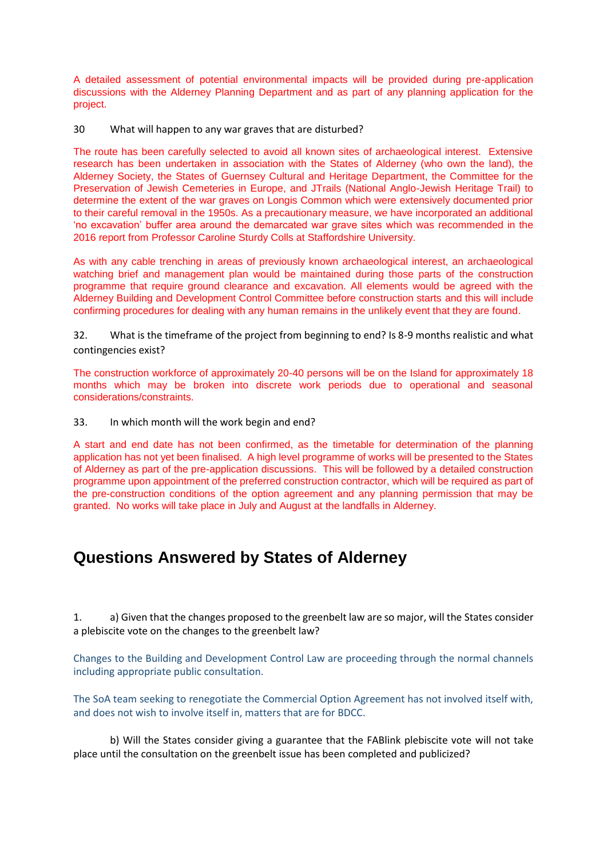A detailed assessment of potential environmental impacts will be provided during pre-application discussions with the Alderney Planning Department and as part of any planning application for the project.

30 What will happen to any war graves that are disturbed?

The route has been carefully selected to avoid all known sites of archaeological interest. Extensive research has been undertaken in association with the States of Alderney (who own the land), the Alderney Society, the States of Guernsey Cultural and Heritage Department, the Committee for the Preservation of Jewish Cemeteries in Europe, and JTrails (National Anglo-Jewish Heritage Trail) to determine the extent of the war graves on Longis Common which were extensively documented prior to their careful removal in the 1950s. As a precautionary measure, we have incorporated an additional 'no excavation' buffer area around the demarcated war grave sites which was recommended in the 2016 report from Professor Caroline Sturdy Colls at Staffordshire University.

As with any cable trenching in areas of previously known archaeological interest, an archaeological watching brief and management plan would be maintained during those parts of the construction programme that require ground clearance and excavation. All elements would be agreed with the Alderney Building and Development Control Committee before construction starts and this will include confirming procedures for dealing with any human remains in the unlikely event that they are found.

32. What is the timeframe of the project from beginning to end? Is 8-9 months realistic and what contingencies exist?

The construction workforce of approximately 20-40 persons will be on the Island for approximately 18 months which may be broken into discrete work periods due to operational and seasonal considerations/constraints.

33. In which month will the work begin and end?

A start and end date has not been confirmed, as the timetable for determination of the planning application has not yet been finalised. A high level programme of works will be presented to the States of Alderney as part of the pre-application discussions. This will be followed by a detailed construction programme upon appointment of the preferred construction contractor, which will be required as part of the pre-construction conditions of the option agreement and any planning permission that may be granted. No works will take place in July and August at the landfalls in Alderney.

# **Questions Answered by States of Alderney**

1. a) Given that the changes proposed to the greenbelt law are so major, will the States consider a plebiscite vote on the changes to the greenbelt law?

Changes to the Building and Development Control Law are proceeding through the normal channels including appropriate public consultation.

The SoA team seeking to renegotiate the Commercial Option Agreement has not involved itself with, and does not wish to involve itself in, matters that are for BDCC.

b) Will the States consider giving a guarantee that the FABlink plebiscite vote will not take place until the consultation on the greenbelt issue has been completed and publicized?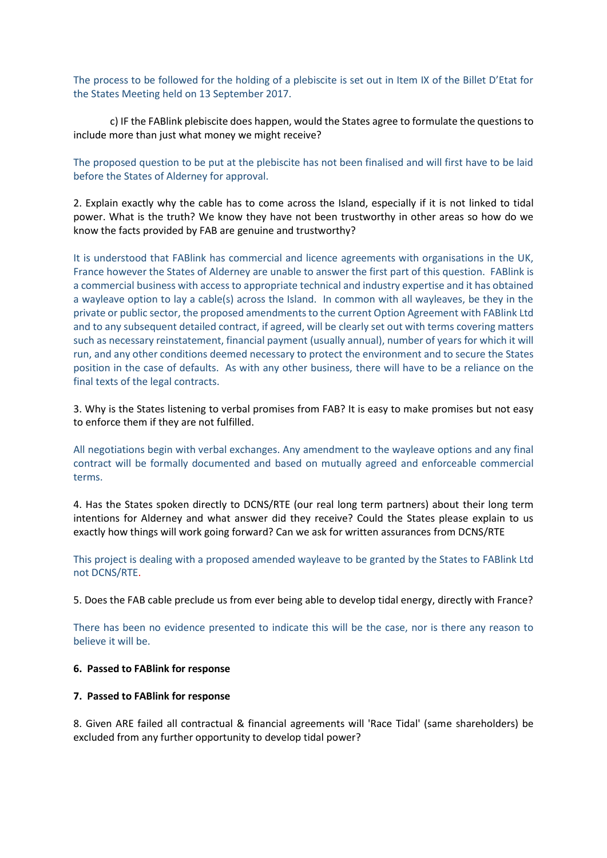The process to be followed for the holding of a plebiscite is set out in Item IX of the Billet D'Etat for the States Meeting held on 13 September 2017.

c) IF the FABlink plebiscite does happen, would the States agree to formulate the questions to include more than just what money we might receive?

The proposed question to be put at the plebiscite has not been finalised and will first have to be laid before the States of Alderney for approval.

2. Explain exactly why the cable has to come across the Island, especially if it is not linked to tidal power. What is the truth? We know they have not been trustworthy in other areas so how do we know the facts provided by FAB are genuine and trustworthy?

It is understood that FABlink has commercial and licence agreements with organisations in the UK, France however the States of Alderney are unable to answer the first part of this question. FABlink is a commercial business with access to appropriate technical and industry expertise and it has obtained a wayleave option to lay a cable(s) across the Island. In common with all wayleaves, be they in the private or public sector, the proposed amendments to the current Option Agreement with FABlink Ltd and to any subsequent detailed contract, if agreed, will be clearly set out with terms covering matters such as necessary reinstatement, financial payment (usually annual), number of years for which it will run, and any other conditions deemed necessary to protect the environment and to secure the States position in the case of defaults. As with any other business, there will have to be a reliance on the final texts of the legal contracts.

3. Why is the States listening to verbal promises from FAB? It is easy to make promises but not easy to enforce them if they are not fulfilled.

All negotiations begin with verbal exchanges. Any amendment to the wayleave options and any final contract will be formally documented and based on mutually agreed and enforceable commercial terms.

4. Has the States spoken directly to DCNS/RTE (our real long term partners) about their long term intentions for Alderney and what answer did they receive? Could the States please explain to us exactly how things will work going forward? Can we ask for written assurances from DCNS/RTE

This project is dealing with a proposed amended wayleave to be granted by the States to FABlink Ltd not DCNS/RTE.

5. Does the FAB cable preclude us from ever being able to develop tidal energy, directly with France?

There has been no evidence presented to indicate this will be the case, nor is there any reason to believe it will be.

#### **6. Passed to FABlink for response**

### **7. Passed to FABlink for response**

8. Given ARE failed all contractual & financial agreements will 'Race Tidal' (same shareholders) be excluded from any further opportunity to develop tidal power?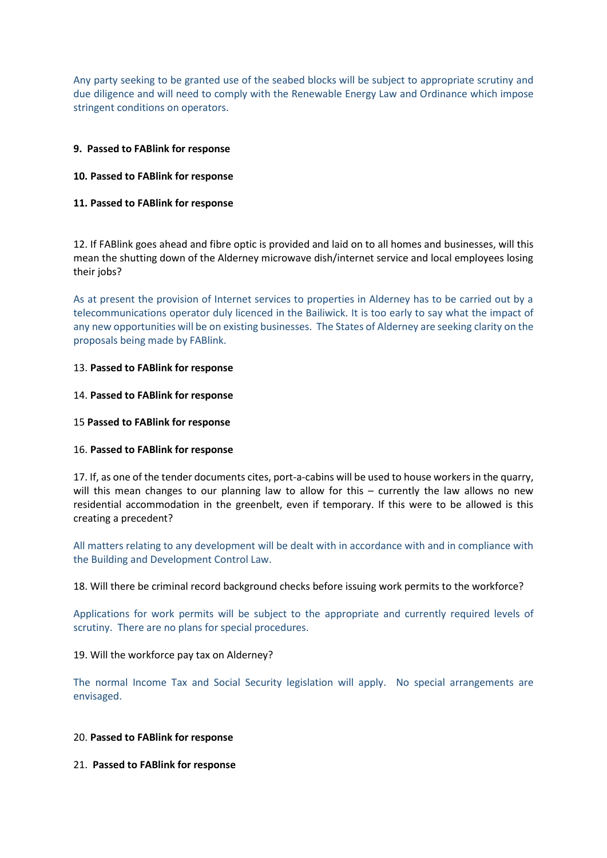Any party seeking to be granted use of the seabed blocks will be subject to appropriate scrutiny and due diligence and will need to comply with the Renewable Energy Law and Ordinance which impose stringent conditions on operators.

## **9. Passed to FABlink for response**

## **10. Passed to FABlink for response**

# **11. Passed to FABlink for response**

12. If FABlink goes ahead and fibre optic is provided and laid on to all homes and businesses, will this mean the shutting down of the Alderney microwave dish/internet service and local employees losing their jobs?

As at present the provision of Internet services to properties in Alderney has to be carried out by a telecommunications operator duly licenced in the Bailiwick. It is too early to say what the impact of any new opportunities will be on existing businesses. The States of Alderney are seeking clarity on the proposals being made by FABlink.

### 13. **Passed to FABlink for response**

### 14. **Passed to FABlink for response**

### 15 **Passed to FABlink for response**

### 16. **Passed to FABlink for response**

17. If, as one of the tender documents cites, port-a-cabins will be used to house workers in the quarry, will this mean changes to our planning law to allow for this – currently the law allows no new residential accommodation in the greenbelt, even if temporary. If this were to be allowed is this creating a precedent?

All matters relating to any development will be dealt with in accordance with and in compliance with the Building and Development Control Law.

18. Will there be criminal record background checks before issuing work permits to the workforce?

Applications for work permits will be subject to the appropriate and currently required levels of scrutiny. There are no plans for special procedures.

19. Will the workforce pay tax on Alderney?

The normal Income Tax and Social Security legislation will apply. No special arrangements are envisaged.

### 20. **Passed to FABlink for response**

21. **Passed to FABlink for response**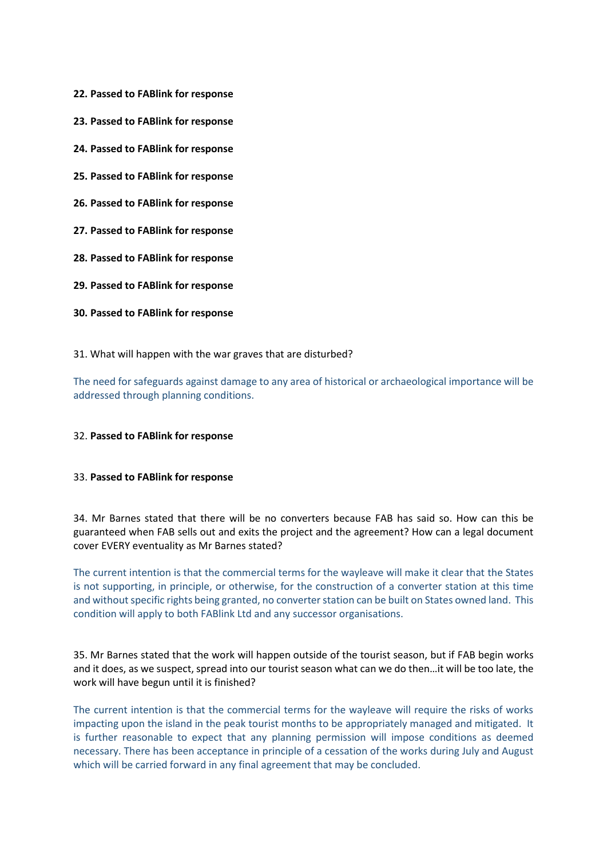- **22. Passed to FABlink for response**
- **23. Passed to FABlink for response**
- **24. Passed to FABlink for response**
- **25. Passed to FABlink for response**
- **26. Passed to FABlink for response**
- **27. Passed to FABlink for response**
- **28. Passed to FABlink for response**
- **29. Passed to FABlink for response**
- **30. Passed to FABlink for response**

#### 31. What will happen with the war graves that are disturbed?

The need for safeguards against damage to any area of historical or archaeological importance will be addressed through planning conditions.

#### 32. **Passed to FABlink for response**

#### 33. **Passed to FABlink for response**

34. Mr Barnes stated that there will be no converters because FAB has said so. How can this be guaranteed when FAB sells out and exits the project and the agreement? How can a legal document cover EVERY eventuality as Mr Barnes stated?

The current intention is that the commercial terms for the wayleave will make it clear that the States is not supporting, in principle, or otherwise, for the construction of a converter station at this time and without specific rights being granted, no converter station can be built on States owned land. This condition will apply to both FABlink Ltd and any successor organisations.

35. Mr Barnes stated that the work will happen outside of the tourist season, but if FAB begin works and it does, as we suspect, spread into our tourist season what can we do then…it will be too late, the work will have begun until it is finished?

The current intention is that the commercial terms for the wayleave will require the risks of works impacting upon the island in the peak tourist months to be appropriately managed and mitigated. It is further reasonable to expect that any planning permission will impose conditions as deemed necessary. There has been acceptance in principle of a cessation of the works during July and August which will be carried forward in any final agreement that may be concluded.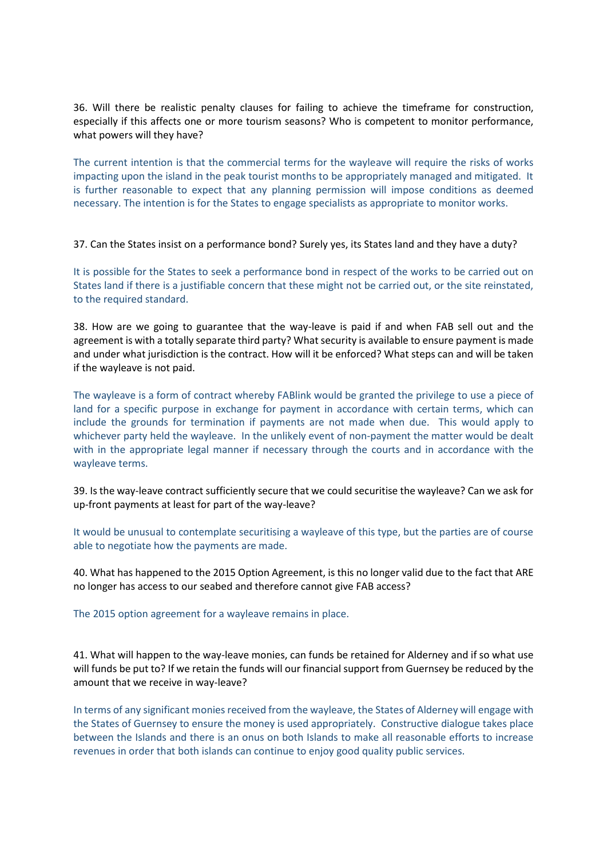36. Will there be realistic penalty clauses for failing to achieve the timeframe for construction, especially if this affects one or more tourism seasons? Who is competent to monitor performance, what powers will they have?

The current intention is that the commercial terms for the wayleave will require the risks of works impacting upon the island in the peak tourist months to be appropriately managed and mitigated. It is further reasonable to expect that any planning permission will impose conditions as deemed necessary. The intention is for the States to engage specialists as appropriate to monitor works.

37. Can the States insist on a performance bond? Surely yes, its States land and they have a duty?

It is possible for the States to seek a performance bond in respect of the works to be carried out on States land if there is a justifiable concern that these might not be carried out, or the site reinstated, to the required standard.

38. How are we going to guarantee that the way-leave is paid if and when FAB sell out and the agreement is with a totally separate third party? What security is available to ensure payment is made and under what jurisdiction is the contract. How will it be enforced? What steps can and will be taken if the wayleave is not paid.

The wayleave is a form of contract whereby FABlink would be granted the privilege to use a piece of land for a specific purpose in exchange for payment in accordance with certain terms, which can include the grounds for termination if payments are not made when due. This would apply to whichever party held the wayleave. In the unlikely event of non-payment the matter would be dealt with in the appropriate legal manner if necessary through the courts and in accordance with the wayleave terms.

39. Is the way-leave contract sufficiently secure that we could securitise the wayleave? Can we ask for up-front payments at least for part of the way-leave?

It would be unusual to contemplate securitising a wayleave of this type, but the parties are of course able to negotiate how the payments are made.

40. What has happened to the 2015 Option Agreement, is this no longer valid due to the fact that ARE no longer has access to our seabed and therefore cannot give FAB access?

The 2015 option agreement for a wayleave remains in place.

41. What will happen to the way-leave monies, can funds be retained for Alderney and if so what use will funds be put to? If we retain the funds will our financial support from Guernsey be reduced by the amount that we receive in way-leave?

In terms of any significant monies received from the wayleave, the States of Alderney will engage with the States of Guernsey to ensure the money is used appropriately. Constructive dialogue takes place between the Islands and there is an onus on both Islands to make all reasonable efforts to increase revenues in order that both islands can continue to enjoy good quality public services.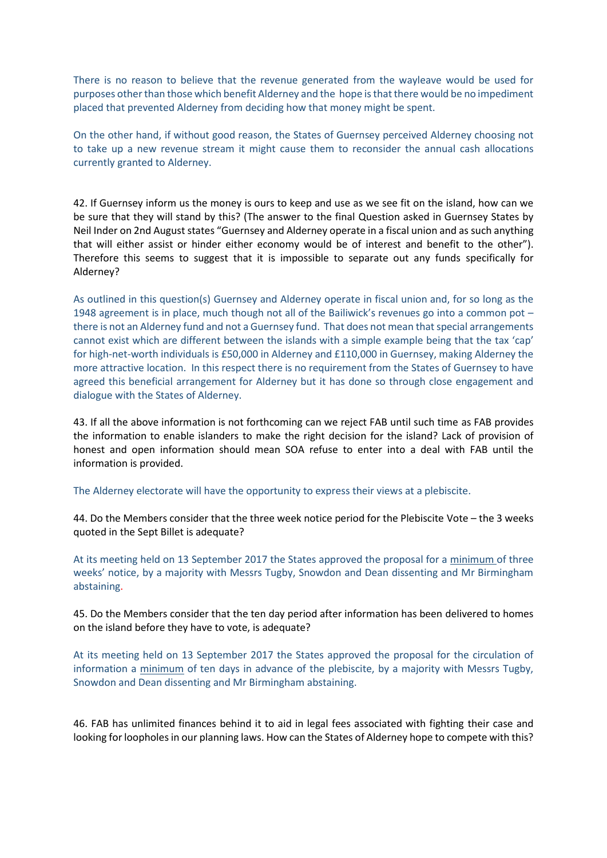There is no reason to believe that the revenue generated from the wayleave would be used for purposes other than those which benefit Alderney and the hope is that there would be no impediment placed that prevented Alderney from deciding how that money might be spent.

On the other hand, if without good reason, the States of Guernsey perceived Alderney choosing not to take up a new revenue stream it might cause them to reconsider the annual cash allocations currently granted to Alderney.

42. If Guernsey inform us the money is ours to keep and use as we see fit on the island, how can we be sure that they will stand by this? (The answer to the final Question asked in Guernsey States by Neil Inder on 2nd August states "Guernsey and Alderney operate in a fiscal union and as such anything that will either assist or hinder either economy would be of interest and benefit to the other"). Therefore this seems to suggest that it is impossible to separate out any funds specifically for Alderney?

As outlined in this question(s) Guernsey and Alderney operate in fiscal union and, for so long as the 1948 agreement is in place, much though not all of the Bailiwick's revenues go into a common pot – there is not an Alderney fund and not a Guernsey fund. That does not mean that special arrangements cannot exist which are different between the islands with a simple example being that the tax 'cap' for high-net-worth individuals is £50,000 in Alderney and £110,000 in Guernsey, making Alderney the more attractive location. In this respect there is no requirement from the States of Guernsey to have agreed this beneficial arrangement for Alderney but it has done so through close engagement and dialogue with the States of Alderney.

43. If all the above information is not forthcoming can we reject FAB until such time as FAB provides the information to enable islanders to make the right decision for the island? Lack of provision of honest and open information should mean SOA refuse to enter into a deal with FAB until the information is provided.

The Alderney electorate will have the opportunity to express their views at a plebiscite.

44. Do the Members consider that the three week notice period for the Plebiscite Vote – the 3 weeks quoted in the Sept Billet is adequate?

At its meeting held on 13 September 2017 the States approved the proposal for a minimum of three weeks' notice, by a majority with Messrs Tugby, Snowdon and Dean dissenting and Mr Birmingham abstaining.

45. Do the Members consider that the ten day period after information has been delivered to homes on the island before they have to vote, is adequate?

At its meeting held on 13 September 2017 the States approved the proposal for the circulation of information a minimum of ten days in advance of the plebiscite, by a majority with Messrs Tugby, Snowdon and Dean dissenting and Mr Birmingham abstaining.

46. FAB has unlimited finances behind it to aid in legal fees associated with fighting their case and looking for loopholes in our planning laws. How can the States of Alderney hope to compete with this?